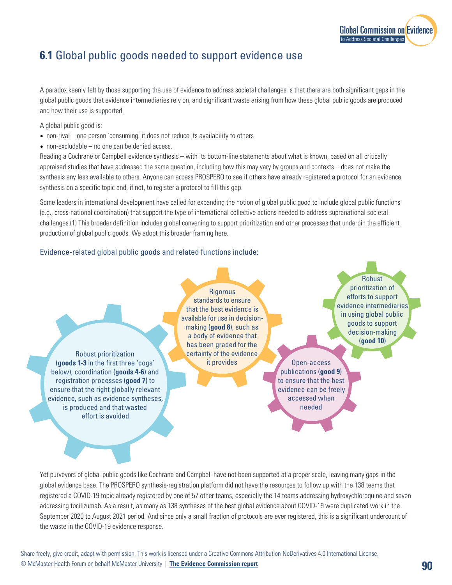

## **6.1** Global public goods needed to support evidence use

A paradox keenly felt by those supporting the use of evidence to address societal challenges is that there are both significant gaps in the global public goods that evidence intermediaries rely on, and significant waste arising from how these global public goods are produced and how their use is supported.

A global public good is:

- non-rival one person 'consuming' it does not reduce its availability to others
- non-excludable no one can be denied access.

Reading a Cochrane or Campbell evidence synthesis – with its bottom-line statements about what is known, based on all critically appraised studies that have addressed the same question, including how this may vary by groups and contexts – does not make the synthesis any less available to others. Anyone can access PROSPERO to see if others have already registered a protocol for an evidence synthesis on a specific topic and, if not, to register a protocol to fill this gap.

Some leaders in international development have called for expanding the notion of global public good to include global public functions (e.g., cross-national coordination) that support the type of international collective actions needed to address supranational societal challenges.(1) This broader definition includes global convening to support prioritization and other processes that underpin the efficient production of global public goods. We adopt this broader framing here.

## Evidence-related global public goods and related functions include:

Robust prioritization (**goods 1-3** in the first three 'cogs' below), coordination (**goods 4-6**) and registration processes (**good 7**) to ensure that the right globally relevant evidence, such as evidence syntheses, is produced and that wasted effort is avoided

**Rigorous** standards to ensure that the best evidence is available for use in decisionmaking (**good 8**), such as a body of evidence that has been graded for the certainty of the evidence it provides Open-access

Robust prioritization of efforts to support evidence intermediaries in using global public goods to support decision-making (**good 10**)

publications (**good 9**) to ensure that the best evidence can be freely accessed when needed

Yet purveyors of global public goods like Cochrane and Campbell have not been supported at a proper scale, leaving many gaps in the global evidence base. The PROSPERO synthesis-registration platform did not have the resources to follow up with the 138 teams that registered a COVID-19 topic already registered by one of 57 other teams, especially the 14 teams addressing hydroxychloroquine and seven addressing tocilizumab. As a result, as many as 138 syntheses of the best global evidence about COVID-19 were duplicated work in the September 2020 to August 2021 period. And since only a small fraction of protocols are ever registered, this is a significant undercount of the waste in the COVID-19 evidence response.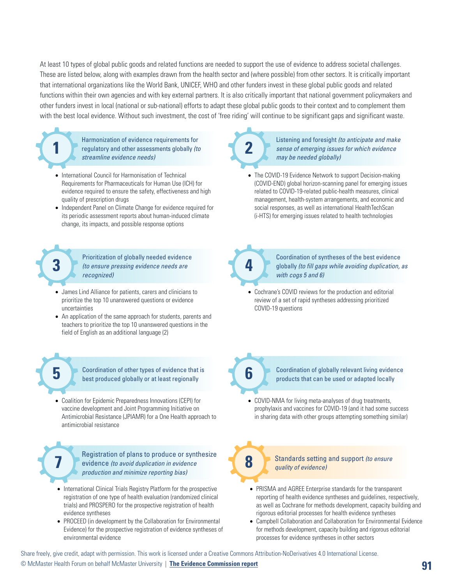At least 10 types of global public goods and related functions are needed to support the use of evidence to address societal challenges. These are listed below, along with examples drawn from the health sector and (where possible) from other sectors. It is critically important that international organizations like the World Bank, UNICEF, WHO and other funders invest in these global public goods and related functions within their own agencies and with key external partners. It is also critically important that national government policymakers and other funders invest in local (national or sub-national) efforts to adapt these global public goods to their context and to complement them with the best local evidence. Without such investment, the cost of 'free riding' will continue to be significant gaps and significant waste.



- International Council for Harmonisation of Technical Requirements for Pharmaceuticals for Human Use (ICH) for evidence required to ensure the safety, effectiveness and high quality of prescription drugs
- Independent Panel on Climate Change for evidence required for its periodic assessment reports about human-induced climate change, its impacts, and possible response options

Prioritization of globally needed evidence **3** *(to ensure pressing evidence needs are* **<b>4** *recognized)*

- James Lind Alliance for patients, carers and clinicians to prioritize the top 10 unanswered questions or evidence uncertainties
- An application of the same approach for students, parents and teachers to prioritize the top 10 unanswered questions in the field of English as an additional language (2)

Coordination of other types of evidence that is **5 6** best produced globally or at least regionally

• Coalition for Epidemic Preparedness Innovations (CEPI) for vaccine development and Joint Programming Initiative on Antimicrobial Resistance (JPIAMR) for a One Health approach to antimicrobial resistance

> Registration of plans to produce or synthesize evidence *(to avoid duplication in evidence production and minimize reporting bias)*

- International Clinical Trials Registry Platform for the prospective registration of one type of health evaluation (randomized clinical trials) and PROSPERO for the prospective registration of health evidence syntheses
- PROCEED (in development by the Collaboration for Environmental Evidence) for the prospective registration of evidence syntheses of environmental evidence



Listening and foresight *(to anticipate and make sense of emerging issues for which evidence may be needed globally)*

• The COVID-19 Evidence Network to support Decision-making (COVID-END) global horizon-scanning panel for emerging issues related to COVID-19-related public-health measures, clinical management, health-system arrangements, and economic and social responses, as well as international HealthTechScan (i-HTS) for emerging issues related to health technologies



Coordination of syntheses of the best evidence globally *(to fill gaps while avoiding duplication, as with cogs 5 and 6)*

• Cochrane's COVID reviews for the production and editorial review of a set of rapid syntheses addressing prioritized COVID-19 questions



Coordination of globally relevant living evidence products that can be used or adapted locally

• COVID-NMA for living meta-analyses of drug treatments, prophylaxis and vaccines for COVID-19 (and it had some success in sharing data with other groups attempting something similar)

**7 8** Standards setting and support *(to ensure quality of evidence)*

- PRISMA and AGREE Enterprise standards for the transparent reporting of health evidence syntheses and guidelines, respectively, as well as Cochrane for methods development, capacity building and rigorous editorial processes for health evidence syntheses
- Campbell Collaboration and Collaboration for Environmental Evidence for methods development, capacity building and rigorous editorial processes for evidence syntheses in other sectors

Share freely, give credit, adapt with permission. This work is licensed under a Creative Commons Attribution-NoDerivatives 4.0 International License.